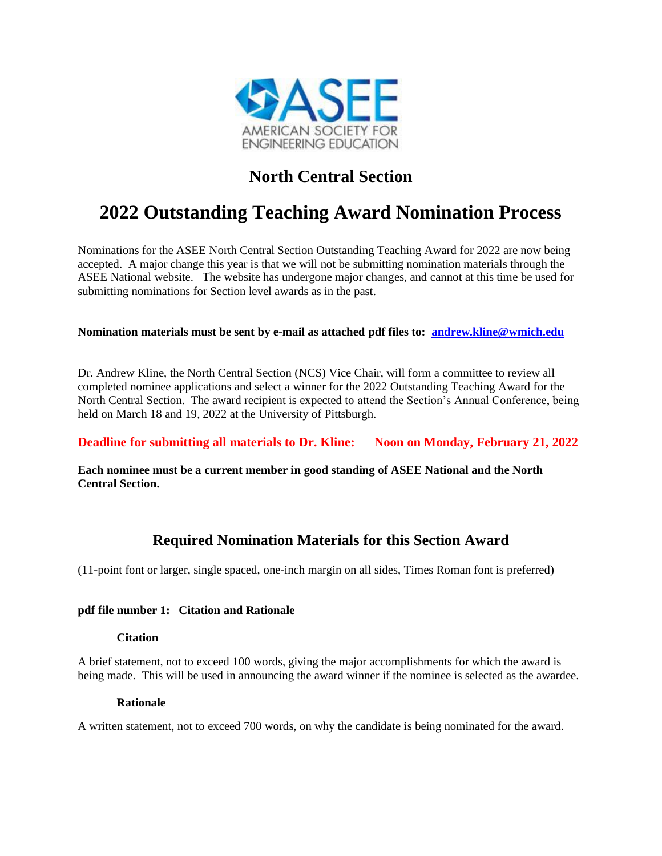

## **North Central Section**

# **2022 Outstanding Teaching Award Nomination Process**

Nominations for the ASEE North Central Section Outstanding Teaching Award for 2022 are now being accepted. A major change this year is that we will not be submitting nomination materials through the ASEE National website. The website has undergone major changes, and cannot at this time be used for submitting nominations for Section level awards as in the past.

#### **Nomination materials must be sent by e-mail as attached pdf files to: [andrew.kline@wmich.edu](mailto:andrew.kline@wmich.edu)**

Dr. Andrew Kline, the North Central Section (NCS) Vice Chair, will form a committee to review all completed nominee applications and select a winner for the 2022 Outstanding Teaching Award for the North Central Section. The award recipient is expected to attend the Section's Annual Conference, being held on March 18 and 19, 2022 at the University of Pittsburgh.

**Deadline for submitting all materials to Dr. Kline:** Noon on Monday, February 21, 2022

**Each nominee must be a current member in good standing of ASEE National and the North Central Section.**

### **Required Nomination Materials for this Section Award**

(11-point font or larger, single spaced, one-inch margin on all sides, Times Roman font is preferred)

#### **pdf file number 1: Citation and Rationale**

#### **Citation**

A brief statement, not to exceed 100 words, giving the major accomplishments for which the award is being made. This will be used in announcing the award winner if the nominee is selected as the awardee.

#### **Rationale**

A written statement, not to exceed 700 words, on why the candidate is being nominated for the award.